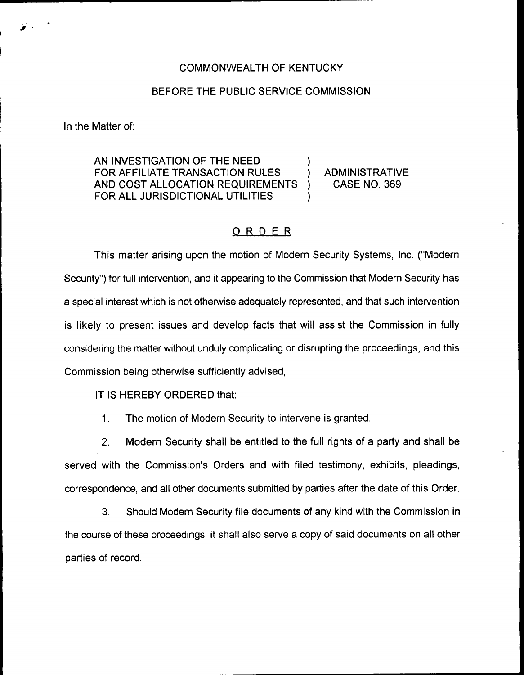## COMMONWEALTH OF KENTUCKY

## BEFORE THE PUBLIC SERVICE COMMISSION

In the Matter of:

AN INVESTIGATION OF THE NEED FOR AFFILIATE TRANSACTION RULES  $\qquad$  ) ADMINISTRATIVE<br>AND COST ALLOCATION REQUIREMENTS ) CASE NO. 369 AND COST ALLOCATION REQUIREMENTS )<br>FOR ALL JURISDICTIONAL UTILITIES FOR ALL JURISDICTIONAL UTILITIES

## ORDER

This matter arising upon the motion of Modern Security Systems, Inc. ("Modern Security'') for full intervention, and it appearing to the Commission that Modern Security has a special interest which is not otherwise adequately represented, and that such intervention is likely to present issues and develop facts that will assist the Commission in fully considering the matter without unduly complicating or disrupting the proceedings, and this Commission being otherwise sufficiently advised,

IT IS HEREBY ORDERED that:

1. The motion of Modern Security to intervene is granted.

2. Modern Security shall be entitled to the full rights of a party and shall be served with the Commission's Orders and with filed testimony, exhibits, pleadings, correspondence, and all other documents submitted by parties after the date of this Order.

3. Should Modern Security file documents of any kind with the Commission in the course of these proceedings, it shall also serve a copy of said documents on all other parties of record.